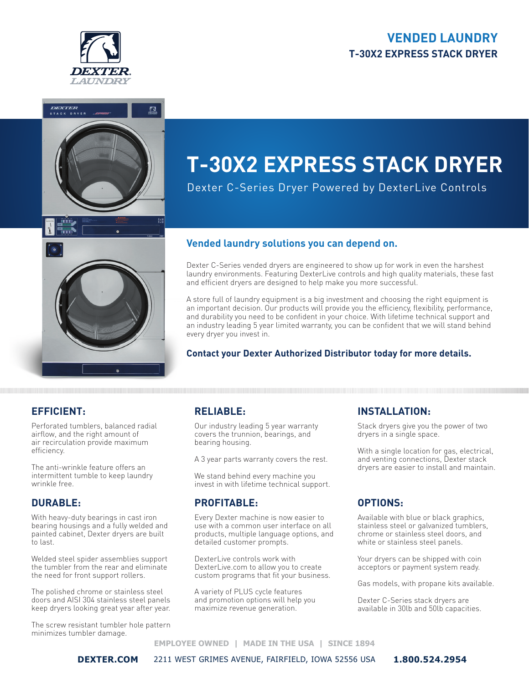## **VENDED LAUNDRY T-30X2 EXPRESS STACK DRYER**





# **T-30X2 EXPRESS STACK DRYER**

Dexter C-Series Dryer Powered by DexterLive Controls

#### **Vended laundry solutions you can depend on.**

Dexter C-Series vended dryers are engineered to show up for work in even the harshest laundry environments. Featuring DexterLive controls and high quality materials, these fast and efficient dryers are designed to help make you more successful.

A store full of laundry equipment is a big investment and choosing the right equipment is an important decision. Our products will provide you the efficiency, flexibility, performance, and durability you need to be confident in your choice. With lifetime technical support and an industry leading 5 year limited warranty, you can be confident that we will stand behind every dryer you invest in.

#### **Contact your Dexter Authorized Distributor today for more details.**

### **EFFICIENT:**

Perforated tumblers, balanced radial airflow, and the right amount of air recirculation provide maximum efficiency.

The anti-wrinkle feature offers an intermittent tumble to keep laundry wrinkle free.

#### **DURABLE:**

With heavy-duty bearings in cast iron bearing housings and a fully welded and painted cabinet, Dexter dryers are built to last.

Welded steel spider assemblies support the tumbler from the rear and eliminate the need for front support rollers.

The polished chrome or stainless steel doors and AISI 304 stainless steel panels keep dryers looking great year after year.

The screw resistant tumbler hole pattern minimizes tumbler damage.

### **RELIABLE:**

Our industry leading 5 year warranty covers the trunnion, bearings, and bearing housing.

A 3 year parts warranty covers the rest.

We stand behind every machine you invest in with lifetime technical support.

### **PROFITABLE:**

Every Dexter machine is now easier to use with a common user interface on all products, multiple language options, and detailed customer prompts.

DexterLive controls work with DexterLive.com to allow you to create custom programs that fit your business.

A variety of PLUS cycle features and promotion options will help you maximize revenue generation.

### **INSTALLATION:**

Stack dryers give you the power of two dryers in a single space.

With a single location for gas, electrical, and venting connections, Dexter stack dryers are easier to install and maintain.

### **OPTIONS:**

Available with blue or black graphics, stainless steel or galvanized tumblers, chrome or stainless steel doors, and white or stainless steel panels.

Your dryers can be shipped with coin acceptors or payment system ready.

Gas models, with propane kits available.

Dexter C-Series stack dryers are available in 30lb and 50lb capacities.

#### **EMPLOYEE OWNED | MADE IN THE USA | SINCE 1894**

**DEXTER.COM** 2211 WEST GRIMES AVENUE, FAIRFIELD, IOWA 52556 USA **1.800.524.2954**